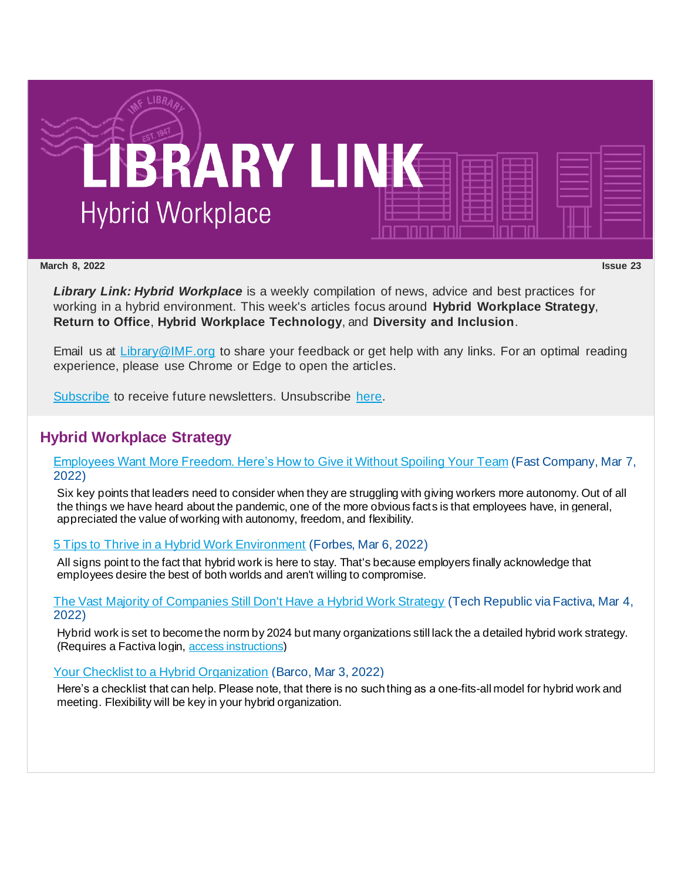

#### **March 8, 2022 Issue 23**

*Library Link: Hybrid Workplace* is a weekly compilation of news, advice and best practices for working in a hybrid environment. This week's articles focus around **Hybrid Workplace Strategy**, **Return to Office**, **Hybrid Workplace Technology**, and **Diversity and Inclusion**.

Email us at [Library@IMF.org](mailto:Library@IMF.org) to share your feedback or get help with any links. For an optimal reading experience, please use Chrome or Edge to open the articles.

[Subscribe](http://t.imfconnect.imf.org/r/?id=h708544,3409cde,3416ce9&e=cDE9JTQwWlh6QTFOamNwZDAwZ0VMeWh4eHFuUUNwYVZvaWluOThSd0RMeUlhS3JsZmhVVi1UeXBhWjR5a0l2dXBhZ3NOUXVqa1lFcERYa3p4eWd1WHBvdWZ5eXRfU2o0cw&s=jwyZFgglywjnX4AUrZRn9Mh88EW6l93pQHce-Gcdyv8) to receive future newsletters. Unsubscribe [here.](http://t.imfconnect.imf.org/r/?id=h708544,3409cde,3416cea&e=cDE9JTQwWlh6QTFOamNwZDAwZ0VMeWh4eHFuUUNwYVZvaWluOThSd0RMeUlhS3JsZmhVVi1UeXBhWjR5a0l2dXBhZ3NOUXVqa1lFcERYa3p4eWd1WHBvdWZ5eXRfU2o0cw&s=JlfhWL9FNx8UMvewg3R36hOb3wC_hsII3pRacASo2xI)

## **Hybrid Workplace Strategy**

[Employees Want More Freedom. Here's How to Give it Without Spoiling Your Team](http://t.imfconnect.imf.org/r/?id=h708544,3409cde,3416ceb) (Fast Company, Mar 7, 2022)

Six key points that leaders need to consider when they are struggling with giving workers more autonomy. Out of all the things we have heard about the pandemic, one of the more obvious facts is that employees have, in general, appreciated the value of working with autonomy, freedom, and flexibility.

### [5 Tips to Thrive in a Hybrid Work Environment](http://t.imfconnect.imf.org/r/?id=h708544,3409cde,3416cec) (Forbes, Mar 6, 2022)

All signs point to the fact that hybrid work is here to stay. That's because employers finally acknowledge that employees desire the best of both worlds and aren't willing to compromise.

[The Vast Majority of Companies Still Don't Have a Hybrid Work Strategy](http://t.imfconnect.imf.org/r/?id=h708544,3409cde,3416ced) (Tech Republic via Factiva, Mar 4, 2022)

Hybrid work is set to become the norm by 2024 but many organizations still lack the a detailed hybrid work strategy. (Requires a Factiva login, [access instructions](http://t.imfconnect.imf.org/r/?id=h708544,3409cde,3416cee))

### [Your Checklist to a Hybrid Organization](http://t.imfconnect.imf.org/r/?id=h708544,3409cde,3416cef) (Barco, Mar 3, 2022)

Here's a checklist that can help. Please note, that there is no such thing as a one-fits-all model for hybrid work and meeting. Flexibility will be key in your hybrid organization.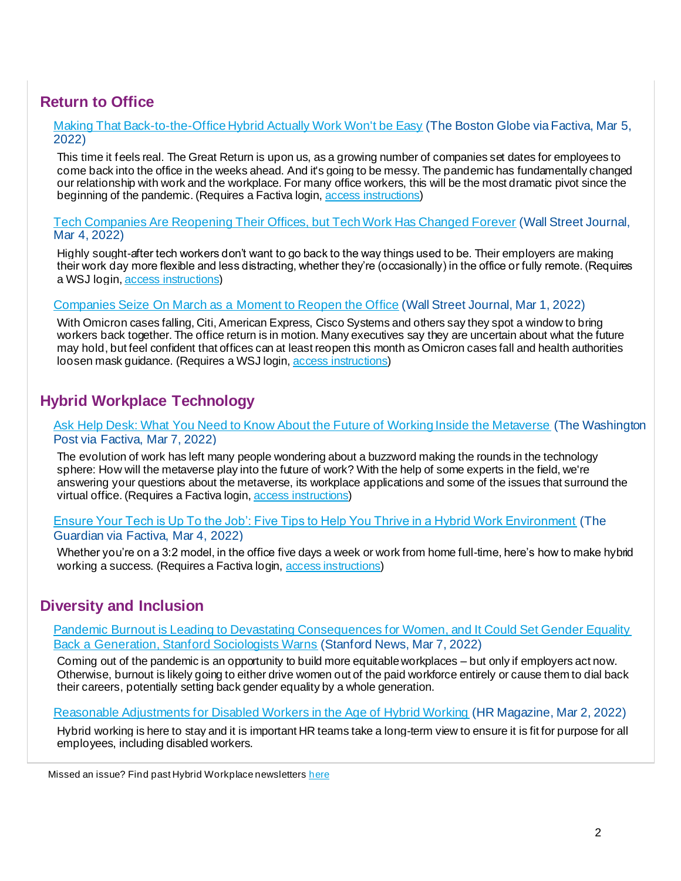# **Return to Office**

[Making That Back-to-the-Office Hybrid Actually Work Won't be Easy](http://t.imfconnect.imf.org/r/?id=h708544,3409cde,3416cf0) (The Boston Globe via Factiva, Mar 5, 2022)

This time it feels real. The Great Return is upon us, as a growing number of companies set dates for employees to come back into the office in the weeks ahead. And it's going to be messy. The pandemic has fundamentally changed our relationship with work and the workplace. For many office workers, this will be the most dramatic pivot since the beginning of the pandemic. (Requires a Factiva login, [access instructions](http://t.imfconnect.imf.org/r/?id=h708544,3409cde,3416cf1))

[Tech Companies Are Reopening Their Offices, but Tech Work Has Changed Forever](http://t.imfconnect.imf.org/r/?id=h708544,3409cde,3416cf2) (Wall Street Journal, Mar 4, 2022)

Highly sought-after tech workers don't want to go back to the way things used to be. Their employers are making their work day more flexible and less distracting, whether they're (occasionally) in the office or fully remote. (Requires a WSJ login, [access instructions](http://t.imfconnect.imf.org/r/?id=h708544,3409cde,3416cf3))

### [Companies Seize On March as a Moment to Reopen the Office](http://t.imfconnect.imf.org/r/?id=h708544,3409cde,3416cf4) (Wall Street Journal, Mar 1, 2022)

With Omicron cases falling, Citi, American Express, Cisco Systems and others say they spot a window to bring workers back together. The office return is in motion. Many executives say they are uncertain about what the future may hold, but feel confident that offices can at least reopen this month as Omicron cases fall and health authorities loosen mask guidance. (Requires a WSJ login, [access instructions](http://t.imfconnect.imf.org/r/?id=h708544,3409cde,3416cf5))

## **Hybrid Workplace Technology**

### [Ask Help Desk: What You Need to Know About the Future of Working Inside the Metaverse](http://t.imfconnect.imf.org/r/?id=h708544,3409cde,3416cf6) (The Washington Post via Factiva, Mar 7, 2022)

The evolution of work has left many people wondering about a buzzword making the rounds in the technology sphere: How will the metaverse play into the future of work? With the help of some experts in the field, we're answering your questions about the metaverse, its workplace applications and some of the issues that surround the virtual office. (Requires a Factiva login, [access instructions](http://t.imfconnect.imf.org/r/?id=h708544,3409cde,3416cf7))

#### [Ensure Your Tech is Up To the Job': Five Tips to Help You Thrive in a Hybrid Work Environment](http://t.imfconnect.imf.org/r/?id=h708544,3409cde,3416cf8) (The Guardian via Factiva, Mar 4, 2022)

Whether you're on a 3:2 model, in the office five days a week or work from home full-time, here's how to make hybrid working a success. (Requires a Factiva login, [access instructions](http://t.imfconnect.imf.org/r/?id=h708544,3409cde,3416cf9))

### **Diversity and Inclusion**

[Pandemic Burnout is Leading to Devastating Consequences for Women, and It Could Set Gender Equality](http://t.imfconnect.imf.org/r/?id=h708544,3409cde,3416cfa)  [Back a Generation, Stanford Sociologists Warns](http://t.imfconnect.imf.org/r/?id=h708544,3409cde,3416cfa) (Stanford News, Mar 7, 2022)

Coming out of the pandemic is an opportunity to build more equitable workplaces – but only if employers act now. Otherwise, burnout is likely going to either drive women out of the paid workforce entirely or cause them to dial back their careers, potentially setting back gender equality by a whole generation.

[Reasonable Adjustments for Disabled Workers in the Age of Hybrid Working](http://t.imfconnect.imf.org/r/?id=h708544,3409cde,3416cfb) (HR Magazine, Mar 2, 2022)

Hybrid working is here to stay and it is important HR teams take a long-term view to ensure it is fit for purpose for all employees, including disabled workers.